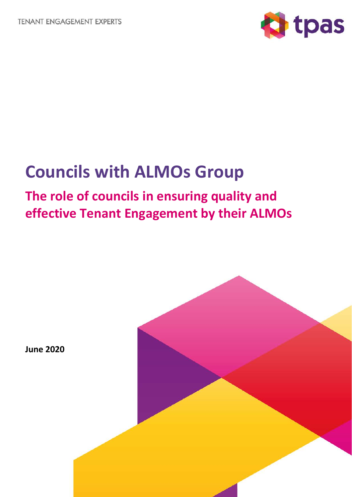**TENANT ENGAGEMENT EXPERTS** 



# **Councils with ALMOs Group**

## **The role of councils in ensuring quality and effective Tenant Engagement by their ALMOs**



**June 2020**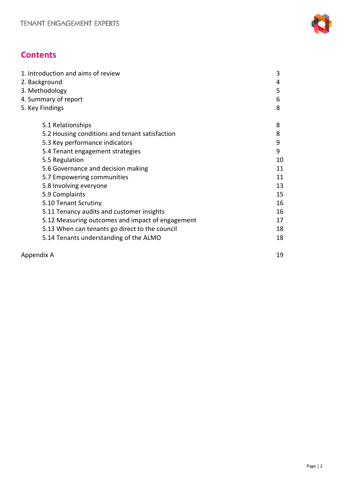

## **Contents**

| 1. Introduction and aims of review               | 3  |
|--------------------------------------------------|----|
| 2. Background                                    | 4  |
| 3. Methodology                                   | 5  |
| 4. Summary of report                             | 6  |
| 5. Key Findings                                  | 8  |
| 5.1 Relationships                                | 8  |
| 5.2 Housing conditions and tenant satisfaction   | 8  |
| 5.3 Key performance indicators                   | 9  |
| 5.4 Tenant engagement strategies                 | 9  |
| 5.5 Regulation                                   | 10 |
| 5.6 Governance and decision making               | 11 |
| 5.7 Empowering communities                       | 11 |
| 5.8 Involving everyone                           | 13 |
| 5.9 Complaints                                   | 15 |
| 5.10 Tenant Scrutiny                             | 16 |
| 5.11 Tenancy audits and customer insights        | 16 |
| 5.12 Measuring outcomes and impact of engagement | 17 |
| 5.13 When can tenants go direct to the council   | 18 |
| 5.14 Tenants understanding of the ALMO           | 18 |
|                                                  |    |

| Appendix A |  |
|------------|--|
|            |  |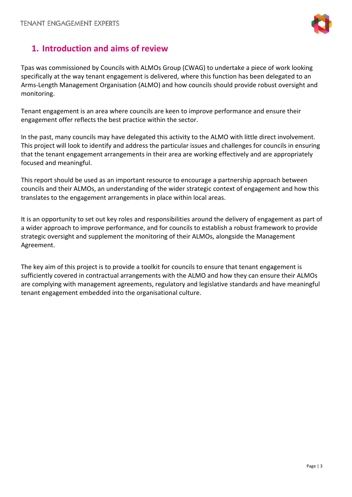

## **1. Introduction and aims of review**

Tpas was commissioned by Councils with ALMOs Group (CWAG) to undertake a piece of work looking specifically at the way tenant engagement is delivered, where this function has been delegated to an Arms-Length Management Organisation (ALMO) and how councils should provide robust oversight and monitoring.

Tenant engagement is an area where councils are keen to improve performance and ensure their engagement offer reflects the best practice within the sector.

In the past, many councils may have delegated this activity to the ALMO with little direct involvement. This project will look to identify and address the particular issues and challenges for councils in ensuring that the tenant engagement arrangements in their area are working effectively and are appropriately focused and meaningful.

This report should be used as an important resource to encourage a partnership approach between councils and their ALMOs, an understanding of the wider strategic context of engagement and how this translates to the engagement arrangements in place within local areas.

It is an opportunity to set out key roles and responsibilities around the delivery of engagement as part of a wider approach to improve performance, and for councils to establish a robust framework to provide strategic oversight and supplement the monitoring of their ALMOs, alongside the Management Agreement.

The key aim of this project is to provide a toolkit for councils to ensure that tenant engagement is sufficiently covered in contractual arrangements with the ALMO and how they can ensure their ALMOs are complying with management agreements, regulatory and legislative standards and have meaningful tenant engagement embedded into the organisational culture.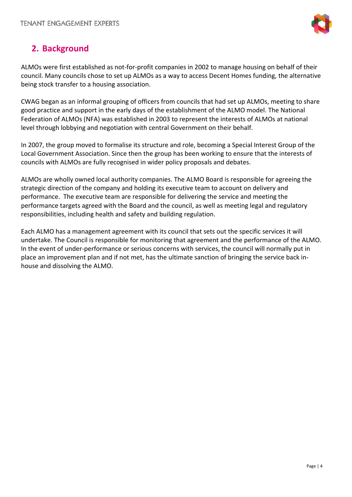

## **2. Background**

ALMOs were first established as not-for-profit companies in 2002 to manage housing on behalf of their council. Many councils chose to set up ALMOs as a way to access Decent Homes funding, the alternative being stock transfer to a housing association.

CWAG began as an informal grouping of officers from councils that had set up ALMOs, meeting to share good practice and support in the early days of the establishment of the ALMO model. The National Federation of ALMOs (NFA) was established in 2003 to represent the interests of ALMOs at national level through lobbying and negotiation with central Government on their behalf.

In 2007, the group moved to formalise its structure and role, becoming a Special Interest Group of the Local Government Association. Since then the group has been working to ensure that the interests of councils with ALMOs are fully recognised in wider policy proposals and debates.

ALMOs are wholly owned local authority companies. The ALMO Board is responsible for agreeing the strategic direction of the company and holding its executive team to account on delivery and performance. The executive team are responsible for delivering the service and meeting the performance targets agreed with the Board and the council, as well as meeting legal and regulatory responsibilities, including health and safety and building regulation.

Each ALMO has a management agreement with its council that sets out the specific services it will undertake. The Council is responsible for monitoring that agreement and the performance of the ALMO. In the event of under-performance or serious concerns with services, the council will normally put in place an improvement plan and if not met, has the ultimate sanction of bringing the service back inhouse and dissolving the ALMO.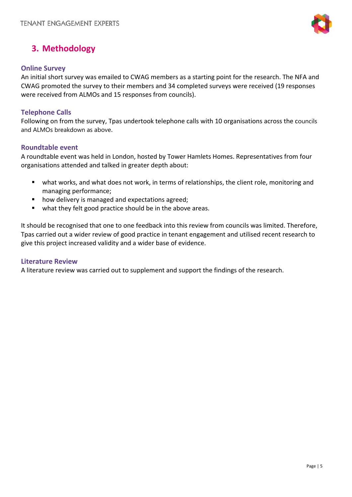

### **3. Methodology**

#### **Online Survey**

An initial short survey was emailed to CWAG members as a starting point for the research. The NFA and CWAG promoted the survey to their members and 34 completed surveys were received (19 responses were received from ALMOs and 15 responses from councils).

#### **Telephone Calls**

Following on from the survey, Tpas undertook telephone calls with 10 organisations across the councils and ALMOs breakdown as above.

#### **Roundtable event**

A roundtable event was held in London, hosted by Tower Hamlets Homes. Representatives from four organisations attended and talked in greater depth about:

- what works, and what does not work, in terms of relationships, the client role, monitoring and managing performance;
- **how delivery is managed and expectations agreed;**
- what they felt good practice should be in the above areas.

It should be recognised that one to one feedback into this review from councils was limited. Therefore, Tpas carried out a wider review of good practice in tenant engagement and utilised recent research to give this project increased validity and a wider base of evidence.

#### **Literature Review**

A literature review was carried out to supplement and support the findings of the research.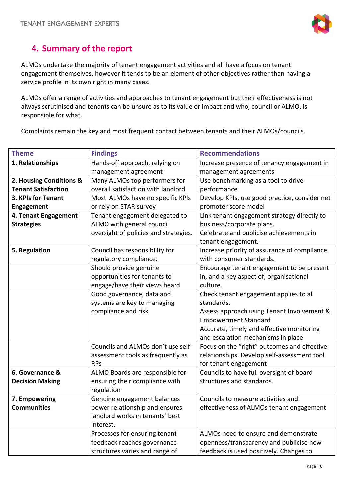

## **4. Summary of the report**

ALMOs undertake the majority of tenant engagement activities and all have a focus on tenant engagement themselves, however it tends to be an element of other objectives rather than having a service profile in its own right in many cases.

ALMOs offer a range of activities and approaches to tenant engagement but their effectiveness is not always scrutinised and tenants can be unsure as to its value or impact and who, council or ALMO, is responsible for what.

Complaints remain the key and most frequent contact between tenants and their ALMOs/councils.

| <b>Theme</b>               | <b>Findings</b>                       | <b>Recommendations</b>                        |
|----------------------------|---------------------------------------|-----------------------------------------------|
| 1. Relationships           | Hands-off approach, relying on        | Increase presence of tenancy engagement in    |
|                            | management agreement                  | management agreements                         |
| 2. Housing Conditions &    | Many ALMOs top performers for         | Use benchmarking as a tool to drive           |
| <b>Tenant Satisfaction</b> | overall satisfaction with landlord    | performance                                   |
| 3. KPIs for Tenant         | Most ALMOs have no specific KPIs      | Develop KPIs, use good practice, consider net |
| Engagement                 | or rely on STAR survey                | promoter score model                          |
| 4. Tenant Engagement       | Tenant engagement delegated to        | Link tenant engagement strategy directly to   |
| <b>Strategies</b>          | ALMO with general council             | business/corporate plans.                     |
|                            | oversight of policies and strategies. | Celebrate and publicise achievements in       |
|                            |                                       | tenant engagement.                            |
| 5. Regulation              | Council has responsibility for        | Increase priority of assurance of compliance  |
|                            | regulatory compliance.                | with consumer standards.                      |
|                            | Should provide genuine                | Encourage tenant engagement to be present     |
|                            | opportunities for tenants to          | in, and a key aspect of, organisational       |
|                            | engage/have their views heard         | culture.                                      |
|                            | Good governance, data and             | Check tenant engagement applies to all        |
|                            | systems are key to managing           | standards.                                    |
|                            | compliance and risk                   | Assess approach using Tenant Involvement &    |
|                            |                                       | <b>Empowerment Standard</b>                   |
|                            |                                       | Accurate, timely and effective monitoring     |
|                            |                                       | and escalation mechanisms in place            |
|                            | Councils and ALMOs don't use self-    | Focus on the "right" outcomes and effective   |
|                            | assessment tools as frequently as     | relationships. Develop self-assessment tool   |
|                            | <b>RPs</b>                            | for tenant engagement                         |
| 6. Governance &            | ALMO Boards are responsible for       | Councils to have full oversight of board      |
| <b>Decision Making</b>     | ensuring their compliance with        | structures and standards.                     |
|                            | regulation                            |                                               |
| 7. Empowering              | Genuine engagement balances           | Councils to measure activities and            |
| <b>Communities</b>         | power relationship and ensures        | effectiveness of ALMOs tenant engagement      |
|                            | landlord works in tenants' best       |                                               |
|                            | interest.                             |                                               |
|                            | Processes for ensuring tenant         | ALMOs need to ensure and demonstrate          |
|                            | feedback reaches governance           | openness/transparency and publicise how       |
|                            | structures varies and range of        | feedback is used positively. Changes to       |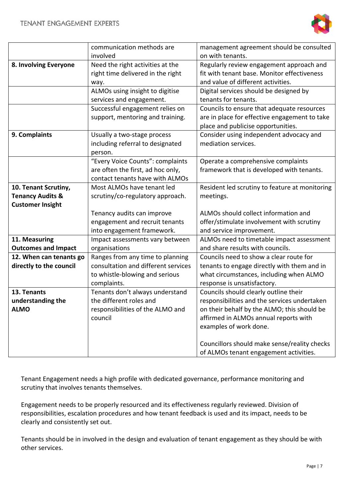

|                                  | communication methods are                                  | management agreement should be consulted                                              |
|----------------------------------|------------------------------------------------------------|---------------------------------------------------------------------------------------|
|                                  | involved                                                   | on with tenants.                                                                      |
| 8. Involving Everyone            | Need the right activities at the                           | Regularly review engagement approach and                                              |
|                                  | right time delivered in the right                          | fit with tenant base. Monitor effectiveness                                           |
|                                  | way.                                                       | and value of different activities.                                                    |
|                                  | ALMOs using insight to digitise                            | Digital services should be designed by                                                |
|                                  | services and engagement.                                   | tenants for tenants.                                                                  |
|                                  | Successful engagement relies on                            | Councils to ensure that adequate resources                                            |
|                                  | support, mentoring and training.                           | are in place for effective engagement to take                                         |
|                                  |                                                            | place and publicise opportunities.                                                    |
| 9. Complaints                    | Usually a two-stage process                                | Consider using independent advocacy and                                               |
|                                  | including referral to designated                           | mediation services.                                                                   |
|                                  | person.                                                    |                                                                                       |
|                                  | "Every Voice Counts": complaints                           | Operate a comprehensive complaints                                                    |
|                                  | are often the first, ad hoc only,                          | framework that is developed with tenants.                                             |
|                                  | contact tenants have with ALMOs                            |                                                                                       |
| 10. Tenant Scrutiny,             | Most ALMOs have tenant led                                 | Resident led scrutiny to feature at monitoring                                        |
| <b>Tenancy Audits &amp;</b>      | scrutiny/co-regulatory approach.                           | meetings.                                                                             |
| <b>Customer Insight</b>          |                                                            |                                                                                       |
|                                  | Tenancy audits can improve                                 | ALMOs should collect information and                                                  |
|                                  | engagement and recruit tenants                             | offer/stimulate involvement with scrutiny                                             |
|                                  | into engagement framework.                                 | and service improvement.                                                              |
| 11. Measuring                    | Impact assessments vary between                            | ALMOs need to timetable impact assessment                                             |
| <b>Outcomes and Impact</b>       | organisations                                              | and share results with councils.                                                      |
| 12. When can tenants go          | Ranges from any time to planning                           | Councils need to show a clear route for                                               |
| directly to the council          | consultation and different services                        | tenants to engage directly with them and in                                           |
|                                  | to whistle-blowing and serious                             | what circumstances, including when ALMO                                               |
| 13. Tenants                      | complaints.                                                | response is unsatisfactory.                                                           |
|                                  | Tenants don't always understand<br>the different roles and | Councils should clearly outline their<br>responsibilities and the services undertaken |
| understanding the<br><b>ALMO</b> | responsibilities of the ALMO and                           | on their behalf by the ALMO; this should be                                           |
|                                  | council                                                    | affirmed in ALMOs annual reports with                                                 |
|                                  |                                                            | examples of work done.                                                                |
|                                  |                                                            |                                                                                       |
|                                  |                                                            | Councillors should make sense/reality checks                                          |
|                                  |                                                            | of ALMOs tenant engagement activities.                                                |
|                                  |                                                            |                                                                                       |

Tenant Engagement needs a high profile with dedicated governance, performance monitoring and scrutiny that involves tenants themselves.

Engagement needs to be properly resourced and its effectiveness regularly reviewed. Division of responsibilities, escalation procedures and how tenant feedback is used and its impact, needs to be clearly and consistently set out.

Tenants should be in involved in the design and evaluation of tenant engagement as they should be with other services.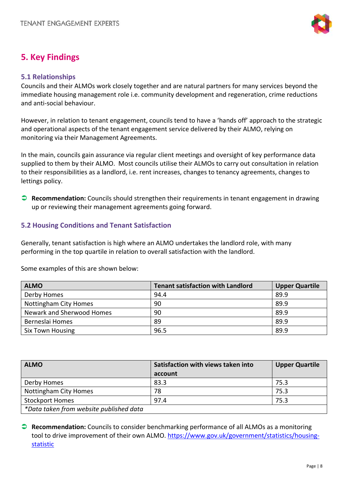

## **5. Key Findings**

#### **5.1 Relationships**

Councils and their ALMOs work closely together and are natural partners for many services beyond the immediate housing management role i.e. community development and regeneration, crime reductions and anti-social behaviour.

However, in relation to tenant engagement, councils tend to have a 'hands off' approach to the strategic and operational aspects of the tenant engagement service delivered by their ALMO, relying on monitoring via their Management Agreements.

In the main, councils gain assurance via regular client meetings and oversight of key performance data supplied to them by their ALMO. Most councils utilise their ALMOs to carry out consultation in relation to their responsibilities as a landlord, i.e. rent increases, changes to tenancy agreements, changes to lettings policy.

 **Recommendation:** Councils should strengthen their requirements in tenant engagement in drawing up or reviewing their management agreements going forward.

#### **5.2 Housing Conditions and Tenant Satisfaction**

Generally, tenant satisfaction is high where an ALMO undertakes the landlord role, with many performing in the top quartile in relation to overall satisfaction with the landlord.

Some examples of this are shown below:

| <b>ALMO</b>               | <b>Tenant satisfaction with Landlord</b> | <b>Upper Quartile</b> |
|---------------------------|------------------------------------------|-----------------------|
| Derby Homes               | 94.4                                     | 89.9                  |
| Nottingham City Homes     | 90                                       | 89.9                  |
| Newark and Sherwood Homes | 90                                       | 89.9                  |
| Berneslai Homes           | 89                                       | 89.9                  |
| <b>Six Town Housing</b>   | 96.5                                     | 89.9                  |

| <b>ALMO</b>                             | Satisfaction with views taken into | <b>Upper Quartile</b> |
|-----------------------------------------|------------------------------------|-----------------------|
|                                         | account                            |                       |
| Derby Homes                             | 83.3                               | 75.3                  |
| Nottingham City Homes                   | 78                                 | 75.3                  |
| <b>Stockport Homes</b>                  | 97.4                               | 75.3                  |
| *Data taken from website published data |                                    |                       |

 **Recommendation:** Councils to consider benchmarking performance of all ALMOs as a monitoring tool to drive improvement of their own ALMO. [https://www.gov.uk/government/statistics/housing](https://www.gov.uk/government/statistics/housing-statistic)[statistic](https://www.gov.uk/government/statistics/housing-statistic)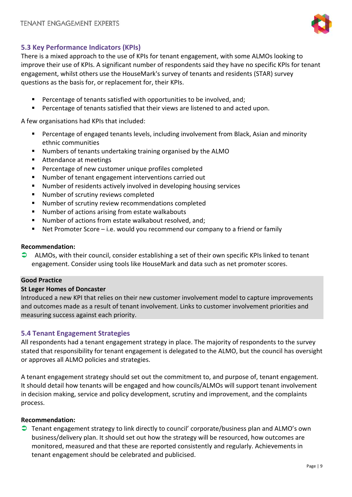

#### **5.3 Key Performance Indicators (KPIs)**

There is a mixed approach to the use of KPIs for tenant engagement, with some ALMOs looking to improve their use of KPIs. A significant number of respondents said they have no specific KPIs for tenant engagement, whilst others use the HouseMark's survey of tenants and residents (STAR) survey questions as the basis for, or replacement for, their KPIs.

- Percentage of tenants satisfied with opportunities to be involved, and;
- Percentage of tenants satisfied that their views are listened to and acted upon.

A few organisations had KPIs that included:

- Percentage of engaged tenants levels, including involvement from Black, Asian and minority ethnic communities
- Numbers of tenants undertaking training organised by the ALMO
- Attendance at meetings
- Percentage of new customer unique profiles completed
- Number of tenant engagement interventions carried out
- Number of residents actively involved in developing housing services
- Number of scrutiny reviews completed
- Number of scrutiny review recommendations completed
- Number of actions arising from estate walkabouts
- Number of actions from estate walkabout resolved, and;
- Net Promoter Score i.e. would you recommend our company to a friend or family

#### **Recommendation:**

 $\bullet$  ALMOs, with their council, consider establishing a set of their own specific KPIs linked to tenant engagement. Consider using tools like HouseMark and data such as net promoter scores.

#### **Good Practice**

#### **St Leger Homes of Doncaster**

Introduced a new KPI that relies on their new customer involvement model to capture improvements and outcomes made as a result of tenant involvement. Links to customer involvement priorities and measuring success against each priority.

#### **5.4 Tenant Engagement Strategies**

All respondents had a tenant engagement strategy in place. The majority of respondents to the survey stated that responsibility for tenant engagement is delegated to the ALMO, but the council has oversight or approves all ALMO policies and strategies.

A tenant engagement strategy should set out the commitment to, and purpose of, tenant engagement. It should detail how tenants will be engaged and how councils/ALMOs will support tenant involvement in decision making, service and policy development, scrutiny and improvement, and the complaints process.

#### **Recommendation:**

 Tenant engagement strategy to link directly to council' corporate/business plan and ALMO's own business/delivery plan. It should set out how the strategy will be resourced, how outcomes are monitored, measured and that these are reported consistently and regularly. Achievements in tenant engagement should be celebrated and publicised.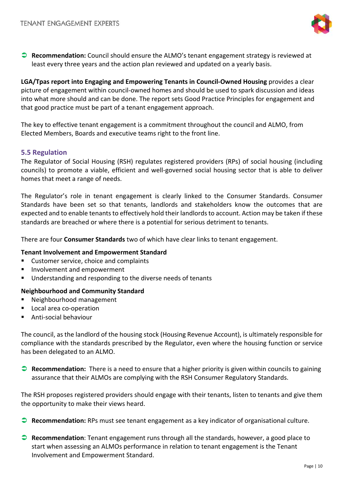

 **Recommendation:** Council should ensure the ALMO's tenant engagement strategy is reviewed at least every three years and the action plan reviewed and updated on a yearly basis.

**LGA/Tpas report into Engaging and Empowering Tenants in Council-Owned Housing** provides a clear picture of engagement within council-owned homes and should be used to spark discussion and ideas into what more should and can be done. The report sets Good Practice Principles for engagement and that good practice must be part of a tenant engagement approach.

The key to effective tenant engagement is a commitment throughout the council and ALMO, from Elected Members, Boards and executive teams right to the front line.

#### **5.5 Regulation**

The Regulator of Social Housing (RSH) regulates registered providers (RPs) of social housing (including councils) to promote a viable, efficient and well-governed social housing sector that is able to deliver homes that meet a range of needs.

The Regulator's role in tenant engagement is clearly linked to the Consumer Standards. Consumer Standards have been set so that tenants, landlords and stakeholders know the outcomes that are expected and to enable tenants to effectively hold their landlords to account. Action may be taken if these standards are breached or where there is a potential for serious detriment to tenants.

There are four **Consumer Standards** two of which have clear links to tenant engagement.

#### **Tenant Involvement and Empowerment Standard**

- Customer service, choice and complaints
- **Involvement and empowerment**
- Understanding and responding to the diverse needs of tenants

#### **Neighbourhood and Community Standard**

- Neighbourhood management
- Local area co-operation
- Anti-social behaviour

The council, as the landlord of the housing stock (Housing Revenue Account), is ultimately responsible for compliance with the standards prescribed by the Regulator, even where the housing function or service has been delegated to an ALMO.

**Recommendation:** There is a need to ensure that a higher priority is given within councils to gaining assurance that their ALMOs are complying with the RSH Consumer Regulatory Standards.

The RSH proposes registered providers should engage with their tenants, listen to tenants and give them the opportunity to make their views heard.

- **Recommendation:** RPs must see tenant engagement as a key indicator of organisational culture.
- **Recommendation**: Tenant engagement runs through all the standards, however, a good place to start when assessing an ALMOs performance in relation to tenant engagement is the Tenant Involvement and Empowerment Standard.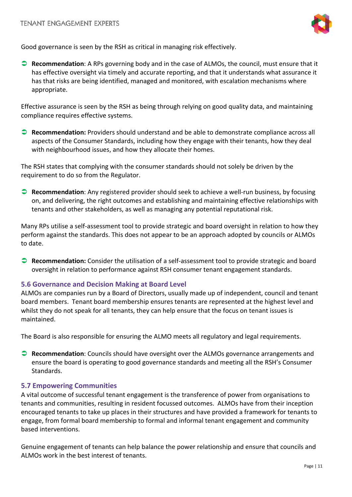

Good governance is seen by the RSH as critical in managing risk effectively.

 **Recommendation**: A RPs governing body and in the case of ALMOs, the council, must ensure that it has effective oversight via timely and accurate reporting, and that it understands what assurance it has that risks are being identified, managed and monitored, with escalation mechanisms where appropriate.

Effective assurance is seen by the RSH as being through relying on good quality data, and maintaining compliance requires effective systems.

 **Recommendation:** Providers should understand and be able to demonstrate compliance across all aspects of the Consumer Standards, including how they engage with their tenants, how they deal with neighbourhood issues, and how they allocate their homes.

The RSH states that complying with the consumer standards should not solely be driven by the requirement to do so from the Regulator.

**Recommendation**: Any registered provider should seek to achieve a well-run business, by focusing on, and delivering, the right outcomes and establishing and maintaining effective relationships with tenants and other stakeholders, as well as managing any potential reputational risk.

Many RPs utilise a self-assessment tool to provide strategic and board oversight in relation to how they perform against the standards. This does not appear to be an approach adopted by councils or ALMOs to date.

 **Recommendation:** Consider the utilisation of a self-assessment tool to provide strategic and board oversight in relation to performance against RSH consumer tenant engagement standards.

#### **5.6 Governance and Decision Making at Board Level**

ALMOs are companies run by a Board of Directors, usually made up of independent, council and tenant board members. Tenant board membership ensures tenants are represented at the highest level and whilst they do not speak for all tenants, they can help ensure that the focus on tenant issues is maintained.

The Board is also responsible for ensuring the ALMO meets all regulatory and legal requirements.

 **Recommendation**: Councils should have oversight over the ALMOs governance arrangements and ensure the board is operating to good governance standards and meeting all the RSH's Consumer Standards.

#### **5.7 Empowering Communities**

A vital outcome of successful tenant engagement is the transference of power from organisations to tenants and communities, resulting in resident focussed outcomes. ALMOs have from their inception encouraged tenants to take up places in their structures and have provided a framework for tenants to engage, from formal board membership to formal and informal tenant engagement and community based interventions.

Genuine engagement of tenants can help balance the power relationship and ensure that councils and ALMOs work in the best interest of tenants.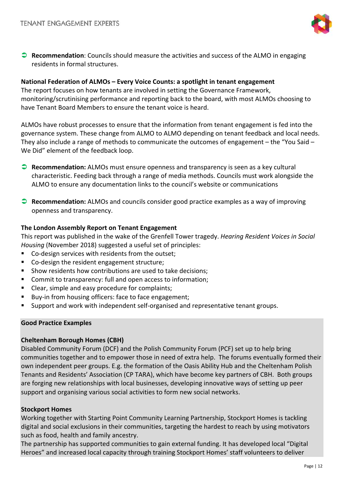

 **Recommendation**: Councils should measure the activities and success of the ALMO in engaging residents in formal structures.

#### **National Federation of ALMOs – Every Voice Counts: a spotlight in tenant engagement**

The report focuses on how tenants are involved in setting the Governance Framework, monitoring/scrutinising performance and reporting back to the board, with most ALMOs choosing to have Tenant Board Members to ensure the tenant voice is heard.

ALMOs have robust processes to ensure that the information from tenant engagement is fed into the governance system. These change from ALMO to ALMO depending on tenant feedback and local needs. They also include a range of methods to communicate the outcomes of engagement – the "You Said – We Did" element of the feedback loop.

- **Recommendation:** ALMOs must ensure openness and transparency is seen as a key cultural characteristic. Feeding back through a range of media methods. Councils must work alongside the ALMO to ensure any documentation links to the council's website or communications
- **Recommendation:** ALMOs and councils consider good practice examples as a way of improving openness and transparency.

#### **The London Assembly Report on Tenant Engagement**

This report was published in the wake of the Grenfell Tower tragedy. *Hearing Resident Voices in Social Housing* (November 2018) suggested a useful set of principles:

- Co-design services with residents from the outset;
- Co-design the resident engagement structure;
- Show residents how contributions are used to take decisions;
- Commit to transparency: full and open access to information;
- Clear, simple and easy procedure for complaints;
- Buy-in from housing officers: face to face engagement;
- Support and work with independent self-organised and representative tenant groups.

#### **Good Practice Examples**

#### **Cheltenham Borough Homes (CBH)**

Disabled Community Forum (DCF) and the Polish Community Forum (PCF) set up to help bring communities together and to empower those in need of extra help. The forums eventually formed their own independent peer groups. E.g. the formation of the Oasis Ability Hub and the Cheltenham Polish Tenants and Residents' Association (CP TARA), which have become key partners of CBH. Both groups are forging new relationships with local businesses, developing innovative ways of setting up peer support and organising various social activities to form new social networks.

#### **Stockport Homes**

Working together with Starting Point Community Learning Partnership, Stockport Homes is tackling digital and social exclusions in their communities, targeting the hardest to reach by using motivators such as food, health and family ancestry.

The partnership has supported communities to gain external funding. It has developed local "Digital Heroes" and increased local capacity through training Stockport Homes' staff volunteers to deliver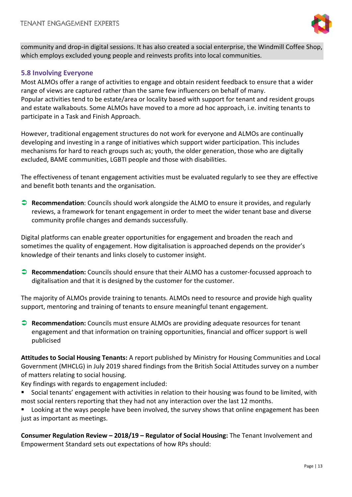

community and drop-in digital sessions. It has also created a social enterprise, the Windmill Coffee Shop, which employs excluded young people and reinvests profits into local communities.

#### **5.8 Involving Everyone**

Most ALMOs offer a range of activities to engage and obtain resident feedback to ensure that a wider range of views are captured rather than the same few influencers on behalf of many. Popular activities tend to be estate/area or locality based with support for tenant and resident groups and estate walkabouts. Some ALMOs have moved to a more ad hoc approach, i.e. inviting tenants to participate in a Task and Finish Approach.

However, traditional engagement structures do not work for everyone and ALMOs are continually developing and investing in a range of initiatives which support wider participation. This includes mechanisms for hard to reach groups such as; youth, the older generation, those who are digitally excluded, BAME communities, LGBTI people and those with disabilities.

The effectiveness of tenant engagement activities must be evaluated regularly to see they are effective and benefit both tenants and the organisation.

 **Recommendation**: Councils should work alongside the ALMO to ensure it provides, and regularly reviews, a framework for tenant engagement in order to meet the wider tenant base and diverse community profile changes and demands successfully.

Digital platforms can enable greater opportunities for engagement and broaden the reach and sometimes the quality of engagement. How digitalisation is approached depends on the provider's knowledge of their tenants and links closely to customer insight.

 **Recommendation:** Councils should ensure that their ALMO has a customer-focussed approach to digitalisation and that it is designed by the customer for the customer.

The majority of ALMOs provide training to tenants. ALMOs need to resource and provide high quality support, mentoring and training of tenants to ensure meaningful tenant engagement.

**Recommendation:** Councils must ensure ALMOs are providing adequate resources for tenant engagement and that information on training opportunities, financial and officer support is well publicised

**Attitudes to Social Housing Tenants:** A report published by Ministry for Housing Communities and Local Government (MHCLG) in July 2019 shared findings from the British Social Attitudes survey on a number of matters relating to social housing.

Key findings with regards to engagement included:

- Social tenants' engagement with activities in relation to their housing was found to be limited, with most social renters reporting that they had not any interaction over the last 12 months.
- Looking at the ways people have been involved, the survey shows that online engagement has been just as important as meetings.

**Consumer Regulation Review – 2018/19 – Regulator of Social Housing:** The Tenant Involvement and Empowerment Standard sets out expectations of how RPs should: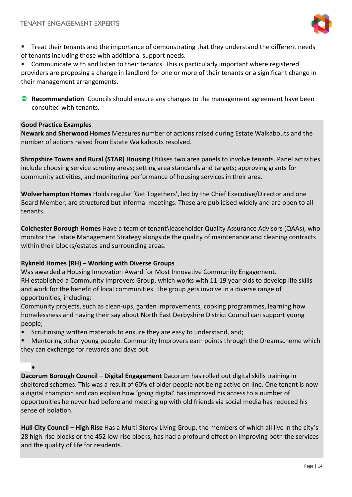

**Treat their tenants and the importance of demonstrating that they understand the different needs** of tenants including those with additional support needs.

 Communicate with and listen to their tenants. This is particularly important where registered providers are proposing a change in landlord for one or more of their tenants or a significant change in their management arrangements.

**Recommendation**: Councils should ensure any changes to the management agreement have been consulted with tenants.

#### **Good Practice Examples**

**Newark and Sherwood Homes** Measures number of actions raised during Estate Walkabouts and the number of actions raised from Estate Walkabouts resolved.

**Shropshire Towns and Rural (STAR) Housing** Utilises two area panels to involve tenants. Panel activities include choosing service scrutiny areas; setting area standards and targets; approving grants for community activities, and monitoring performance of housing services in their area.

**Wolverhampton Homes** Holds regular 'Get Togethers', led by the Chief Executive/Director and one Board Member, are structured but informal meetings. These are publicised widely and are open to all tenants.

**Colchester Borough Homes** Have a team of tenant\leaseholder Quality Assurance Advisors (QAAs), who monitor the Estate Management Strategy alongside the quality of maintenance and cleaning contracts within their blocks/estates and surrounding areas.

#### **Rykneld Homes (RH) – Working with Diverse Groups**

Was awarded a Housing Innovation Award for Most Innovative Community Engagement. RH established a Community Improvers Group, which works with 11-19 year olds to develop life skills and work for the benefit of local communities. The group gets involve in a diverse range of opportunities, including:

Community projects, such as clean-ups, garden improvements, cooking programmes, learning how homelessness and having their say about North East Derbyshire District Council can support young people;

- Scrutinising written materials to ensure they are easy to understand, and;
- Mentoring other young people. Community Improvers earn points through the Dreamscheme which they can exchange for rewards and days out.

•

**Dacorum Borough Council – Digital Engagement** Dacorum has rolled out digital skills training in sheltered schemes. This was a result of 60% of older people not being active on line. One tenant is now a digital champion and can explain how 'going digital' has improved his access to a number of opportunities he never had before and meeting up with old friends via social media has reduced his sense of isolation.

**Hull City Council – High Rise** Has a Multi-Storey Living Group, the members of which all live in the city's 28 high-rise blocks or the 452 low-rise blocks, has had a profound effect on improving both the services and the quality of life for residents.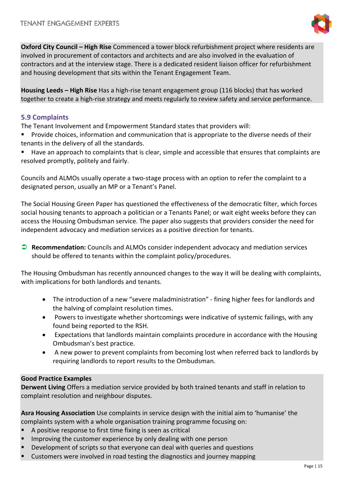

**Oxford City Council – High Rise** Commenced a tower block refurbishment project where residents are involved in procurement of contactors and architects and are also involved in the evaluation of contractors and at the interview stage. There is a dedicated resident liaison officer for refurbishment and housing development that sits within the Tenant Engagement Team.

**Housing Leeds – High Rise** Has a high-rise tenant engagement group (116 blocks) that has worked together to create a high-rise strategy and meets regularly to review safety and service performance.

#### **5.9 Complaints**

The Tenant Involvement and Empowerment Standard states that providers will:

 Provide choices, information and communication that is appropriate to the diverse needs of their tenants in the delivery of all the standards.

 Have an approach to complaints that is clear, simple and accessible that ensures that complaints are resolved promptly, politely and fairly.

Councils and ALMOs usually operate a two-stage process with an option to refer the complaint to a designated person, usually an MP or a Tenant's Panel.

The Social Housing Green Paper has questioned the effectiveness of the democratic filter, which forces social housing tenants to approach a politician or a Tenants Panel; or wait eight weeks before they can access the Housing Ombudsman service. The paper also suggests that providers consider the need for independent advocacy and mediation services as a positive direction for tenants.

 **Recommendation:** Councils and ALMOs consider independent advocacy and mediation services should be offered to tenants within the complaint policy/procedures.

The Housing Ombudsman has recently announced changes to the way it will be dealing with complaints, with implications for both landlords and tenants.

- The introduction of a new "severe maladministration" fining higher fees for landlords and the halving of complaint resolution times.
- Powers to investigate whether shortcomings were indicative of systemic failings, with any found being reported to the RSH.
- Expectations that landlords maintain complaints procedure in accordance with the Housing Ombudsman's best practice.
- A new power to prevent complaints from becoming lost when referred back to landlords by requiring landlords to report results to the Ombudsman.

#### **Good Practice Examples**

**Derwent Living** Offers a mediation service provided by both trained tenants and staff in relation to complaint resolution and neighbour disputes.

**Asra Housing Association** Use complaints in service design with the initial aim to 'humanise' the complaints system with a whole organisation training programme focusing on:

- A positive response to first time fixing is seen as critical
- Improving the customer experience by only dealing with one person
- Development of scripts so that everyone can deal with queries and questions
- Customers were involved in road testing the diagnostics and journey mapping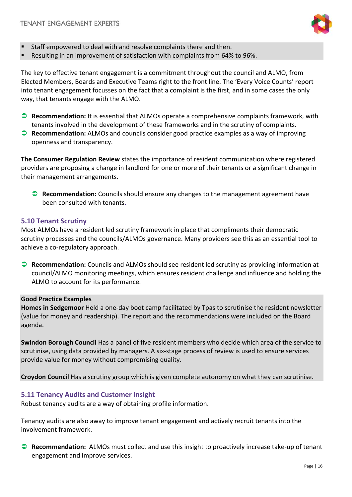

- Staff empowered to deal with and resolve complaints there and then.
- Resulting in an improvement of satisfaction with complaints from 64% to 96%.

The key to effective tenant engagement is a commitment throughout the council and ALMO, from Elected Members, Boards and Executive Teams right to the front line. The 'Every Voice Counts' report into tenant engagement focusses on the fact that a complaint is the first, and in some cases the only way, that tenants engage with the ALMO.

- **Recommendation:** It is essential that ALMOs operate a comprehensive complaints framework, with tenants involved in the development of these frameworks and in the scrutiny of complaints.
- **Recommendation:** ALMOs and councils consider good practice examples as a way of improving openness and transparency.

**The Consumer Regulation Review** states the importance of resident communication where registered providers are proposing a change in landlord for one or more of their tenants or a significant change in their management arrangements.

**Recommendation:** Councils should ensure any changes to the management agreement have been consulted with tenants**.**

#### **5.10 Tenant Scrutiny**

Most ALMOs have a resident led scrutiny framework in place that compliments their democratic scrutiny processes and the councils/ALMOs governance. Many providers see this as an essential tool to achieve a co-regulatory approach.

 **Recommendation:** Councils and ALMOs should see resident led scrutiny as providing information at council/ALMO monitoring meetings, which ensures resident challenge and influence and holding the ALMO to account for its performance.

#### **Good Practice Examples**

**Homes in Sedgemoor** Held a one-day boot camp facilitated by Tpas to scrutinise the resident newsletter (value for money and readership). The report and the recommendations were included on the Board agenda.

**Swindon Borough Council** Has a panel of five resident members who decide which area of the service to scrutinise, using data provided by managers. A six-stage process of review is used to ensure services provide value for money without compromising quality.

**Croydon Council** Has a scrutiny group which is given complete autonomy on what they can scrutinise.

#### **5.11 Tenancy Audits and Customer Insight**

Robust tenancy audits are a way of obtaining profile information.

Tenancy audits are also away to improve tenant engagement and actively recruit tenants into the involvement framework.

 **Recommendation:** ALMOs must collect and use this insight to proactively increase take-up of tenant engagement and improve services.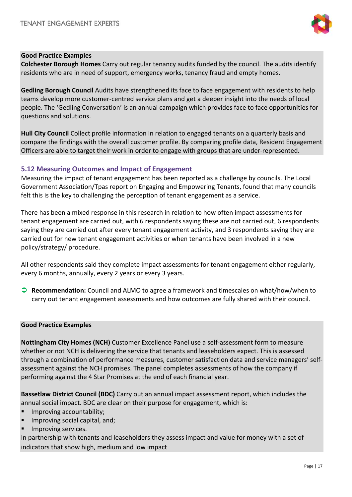

#### **Good Practice Examples**

**Colchester Borough Homes** Carry out regular tenancy audits funded by the council. The audits identify residents who are in need of support, emergency works, tenancy fraud and empty homes.

**Gedling Borough Council** Audits have strengthened its face to face engagement with residents to help teams develop more customer-centred service plans and get a deeper insight into the needs of local people. The 'Gedling Conversation' is an annual campaign which provides face to face opportunities for questions and solutions.

**Hull City Council** Collect profile information in relation to engaged tenants on a quarterly basis and compare the findings with the overall customer profile. By comparing profile data, Resident Engagement Officers are able to target their work in order to engage with groups that are under-represented.

#### **5.12 Measuring Outcomes and Impact of Engagement**

Measuring the impact of tenant engagement has been reported as a challenge by councils. The Local Government Association/Tpas report on Engaging and Empowering Tenants, found that many councils felt this is the key to challenging the perception of tenant engagement as a service.

There has been a mixed response in this research in relation to how often impact assessments for tenant engagement are carried out, with 6 respondents saying these are not carried out, 6 respondents saying they are carried out after every tenant engagement activity, and 3 respondents saying they are carried out for new tenant engagement activities or when tenants have been involved in a new policy/strategy/ procedure.

All other respondents said they complete impact assessments for tenant engagement either regularly, every 6 months, annually, every 2 years or every 3 years.

 **Recommendation:** Council and ALMO to agree a framework and timescales on what/how/when to carry out tenant engagement assessments and how outcomes are fully shared with their council.

#### **Good Practice Examples**

**Nottingham City Homes (NCH)** Customer Excellence Panel use a self-assessment form to measure whether or not NCH is delivering the service that tenants and leaseholders expect. This is assessed through a combination of performance measures, customer satisfaction data and service managers' selfassessment against the NCH promises. The panel completes assessments of how the company if performing against the 4 Star Promises at the end of each financial year.

**Bassetlaw District Council (BDC)** Carry out an annual impact assessment report, which includes the annual social impact. BDC are clear on their purpose for engagement, which is:

- Improving accountability;
- Improving social capital, and;
- Improving services.

In partnership with tenants and leaseholders they assess impact and value for money with a set of indicators that show high, medium and low impact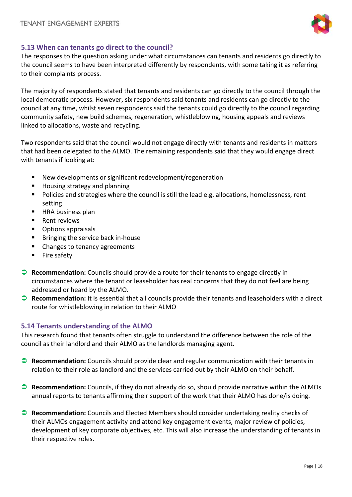

#### **5.13 When can tenants go direct to the council?**

The responses to the question asking under what circumstances can tenants and residents go directly to the council seems to have been interpreted differently by respondents, with some taking it as referring to their complaints process.

The majority of respondents stated that tenants and residents can go directly to the council through the local democratic process. However, six respondents said tenants and residents can go directly to the council at any time, whilst seven respondents said the tenants could go directly to the council regarding community safety, new build schemes, regeneration, whistleblowing, housing appeals and reviews linked to allocations, waste and recycling.

Two respondents said that the council would not engage directly with tenants and residents in matters that had been delegated to the ALMO. The remaining respondents said that they would engage direct with tenants if looking at:

- New developments or significant redevelopment/regeneration
- Housing strategy and planning
- **Policies and strategies where the council is still the lead e.g. allocations, homelessness, rent** setting
- **HRA business plan**
- Rent reviews
- **•** Options appraisals
- **Bringing the service back in-house**
- Changes to tenancy agreements
- **Fire safety**
- **Recommendation:** Councils should provide a route for their tenants to engage directly in circumstances where the tenant or leaseholder has real concerns that they do not feel are being addressed or heard by the ALMO.
- **Recommendation:** It is essential that all councils provide their tenants and leaseholders with a direct route for whistleblowing in relation to their ALMO

#### **5.14 Tenants understanding of the ALMO**

This research found that tenants often struggle to understand the difference between the role of the council as their landlord and their ALMO as the landlords managing agent.

- **Recommendation:** Councils should provide clear and regular communication with their tenants in relation to their role as landlord and the services carried out by their ALMO on their behalf.
- **Recommendation:** Councils, if they do not already do so, should provide narrative within the ALMOs annual reports to tenants affirming their support of the work that their ALMO has done/is doing.
- **Recommendation:** Councils and Elected Members should consider undertaking reality checks of their ALMOs engagement activity and attend key engagement events, major review of policies, development of key corporate objectives, etc. This will also increase the understanding of tenants in their respective roles.